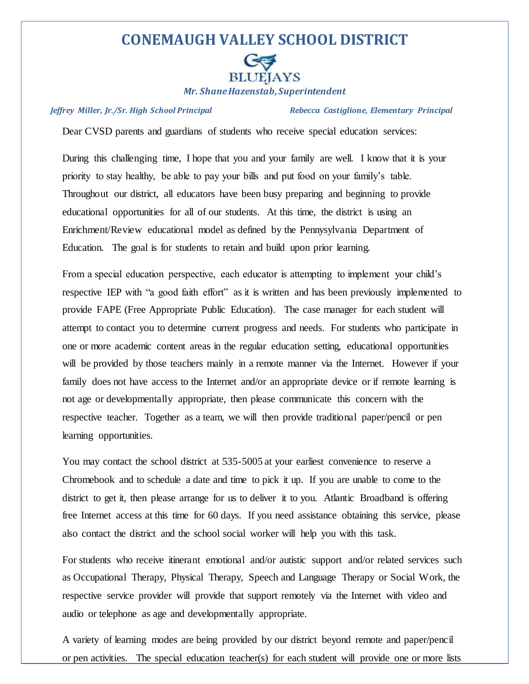## **CONEMAUGH VALLEY SCHOOL DISTRICT**



*Mr. Shane Hazenstab, Superintendent*

*Jeffrey Miller, Jr./Sr. High School Principal Rebecca Castiglione, Elementary Principal*

Dear CVSD parents and guardians of students who receive special education services:

During this challenging time, I hope that you and your family are well. I know that it is your priority to stay healthy, be able to pay your bills and put food on your family's table. Throughout our district, all educators have been busy preparing and beginning to provide educational opportunities for all of our students. At this time, the district is using an Enrichment/Review educational model as defined by the Pennysylvania Department of Education. The goal is for students to retain and build upon prior learning.

From a special education perspective, each educator is attempting to implement your child's respective IEP with "a good faith effort" as it is written and has been previously implemented to provide FAPE (Free Appropriate Public Education). The case manager for each student will attempt to contact you to determine current progress and needs. For students who participate in one or more academic content areas in the regular education setting, educational opportunities will be provided by those teachers mainly in a remote manner via the Internet. However if your family does not have access to the Internet and/or an appropriate device or if remote learning is not age or developmentally appropriate, then please communicate this concern with the respective teacher. Together as a team, we will then provide traditional paper/pencil or pen learning opportunities.

You may contact the school district at 535-5005 at your earliest convenience to reserve a Chromebook and to schedule a date and time to pick it up. If you are unable to come to the district to get it, then please arrange for us to deliver it to you. Atlantic Broadband is offering free Internet access at this time for 60 days. If you need assistance obtaining this service, please also contact the district and the school social worker will help you with this task.

For students who receive itinerant emotional and/or autistic support and/or related services such as Occupational Therapy, Physical Therapy, Speech and Language Therapy or Social Work, the respective service provider will provide that support remotely via the Internet with video and audio or telephone as age and developmentally appropriate.

A variety of learning modes are being provided by our district beyond remote and paper/pencil or pen activities. The special education teacher(s) for each student will provide one or more lists